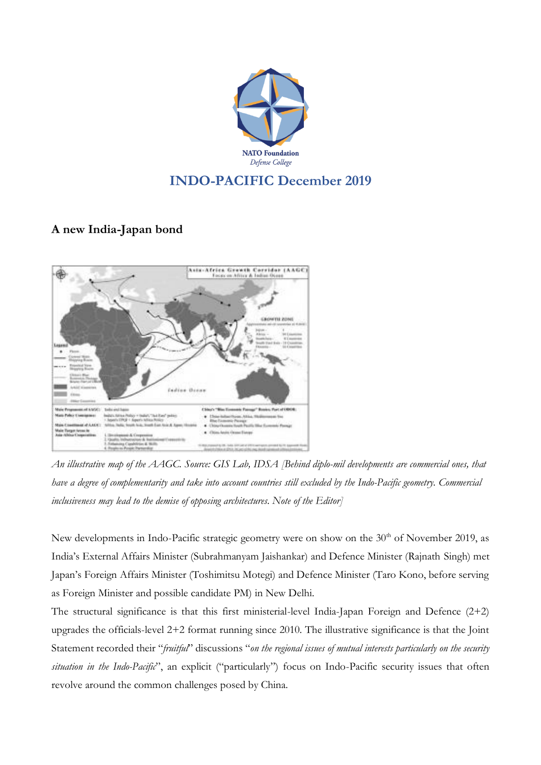

## **INDO-PACIFIC December 2019**

## **A new India-Japan bond**



An illustrative map of the AAGC. Source: GIS Lab, IDSA [Behind diplo-mil developments are commercial ones, that have a degree of complementarity and take into account countries still excluded by the Indo-Pacific geometry. Commercial *inclusiveness may lead to the demise of opposing architectures. Note of the Editor]*

New developments in Indo-Pacific strategic geometry were on show on the 30<sup>th</sup> of November 2019, as India's External Affairs Minister (Subrahmanyam Jaishankar) and Defence Minister (Rajnath Singh) met Japan's Foreign Affairs Minister (Toshimitsu Motegi) and Defence Minister (Taro Kono, before serving as Foreign Minister and possible candidate PM) in New Delhi.

The structural significance is that this first ministerial-level India-Japan Foreign and Defence (2+2) upgrades the officials-level 2+2 format running since 2010. The illustrative significance is that the Joint Statement recorded their "*fruitful*" discussions "*on the regional issues of mutual interests particularly on the security situation in the Indo-Pacific*", an explicit ("particularly") focus on Indo-Pacific security issues that often revolve around the common challenges posed by China.